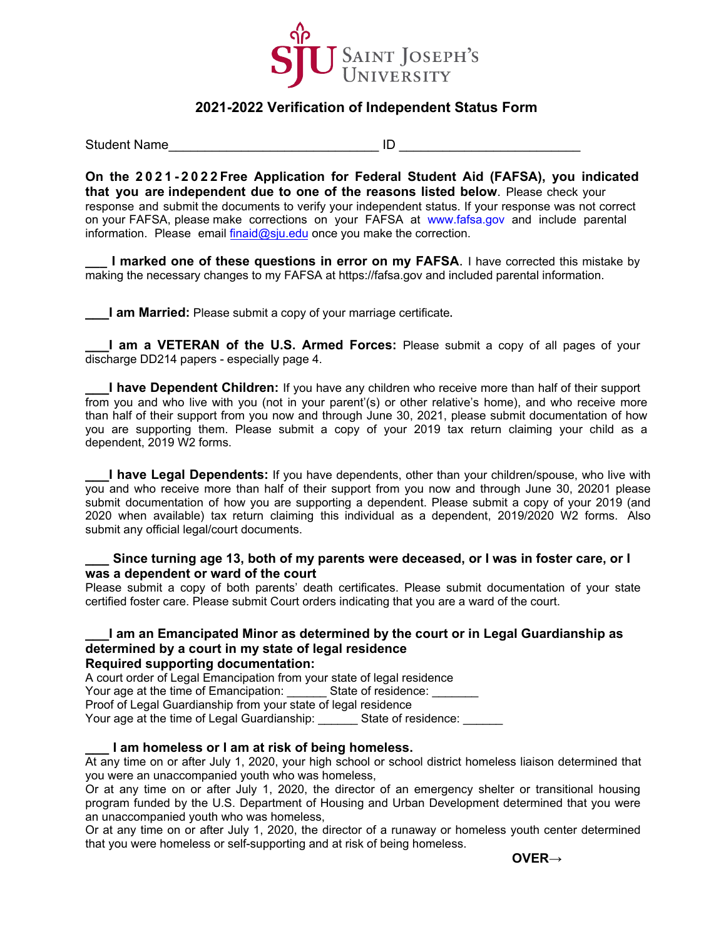

# **2021-2022 Verification of Independent Status Form**

Student Name **All and Student Name** 

**On the 2021-2022 Free Application for Federal Student Aid (FAFSA), you indicated that you are independent due to one of the reasons listed below**. Please check your response and submit the documents to verify your independent status. If your response was not correct on your FAFSA, please make corrections on your FAFSA at www.fafsa.gov and include parental information. Please email  $\frac{\text{final}}{\text{initial}}$  and once you make the correction.

**I marked one of these questions in error on my FAFSA.** I have corrected this mistake by making the necessary changes to my FAFSA at https://fafsa.gov and included parental information.

**\_\_\_I am Married:** Please submit a copy of your marriage certificate**.**

**\_\_\_I am a VETERAN of the U.S. Armed Forces:** Please submit a copy of all pages of your discharge DD214 papers - especially page 4.

**I have Dependent Children:** If you have any children who receive more than half of their support from you and who live with you (not in your parent'(s) or other relative's home), and who receive more than half of their support from you now and through June 30, 2021, please submit documentation of how you are supporting them. Please submit a copy of your 2019 tax return claiming your child as a dependent, 2019 W2 forms.

**I have Legal Dependents:** If you have dependents, other than your children/spouse, who live with you and who receive more than half of their support from you now and through June 30, 20201 please submit documentation of how you are supporting a dependent. Please submit a copy of your 2019 (and 2020 when available) tax return claiming this individual as a dependent, 2019/2020 W2 forms. Also submit any official legal/court documents.

### **\_\_\_ Since turning age 13, both of my parents were deceased, or I was in foster care, or I was a dependent or ward of the court**

Please submit a copy of both parents' death certificates. Please submit documentation of your state certified foster care. Please submit Court orders indicating that you are a ward of the court.

#### **\_\_\_I am an Emancipated Minor as determined by the court or in Legal Guardianship as determined by a court in my state of legal residence Required supporting documentation:**

A court order of Legal Emancipation from your state of legal residence Your age at the time of Emancipation: State of residence: Proof of Legal Guardianship from your state of legal residence Your age at the time of Legal Guardianship: State of residence:

### **\_\_\_ I am homeless or I am at risk of being homeless.**

At any time on or after July 1, 2020, your high school or school district homeless liaison determined that you were an unaccompanied youth who was homeless,

Or at any time on or after July 1, 2020, the director of an emergency shelter or transitional housing program funded by the U.S. Department of Housing and Urban Development determined that you were an unaccompanied youth who was homeless,

Or at any time on or after July 1, 2020, the director of a runaway or homeless youth center determined that you were homeless or self-supporting and at risk of being homeless.

 **OVER→**